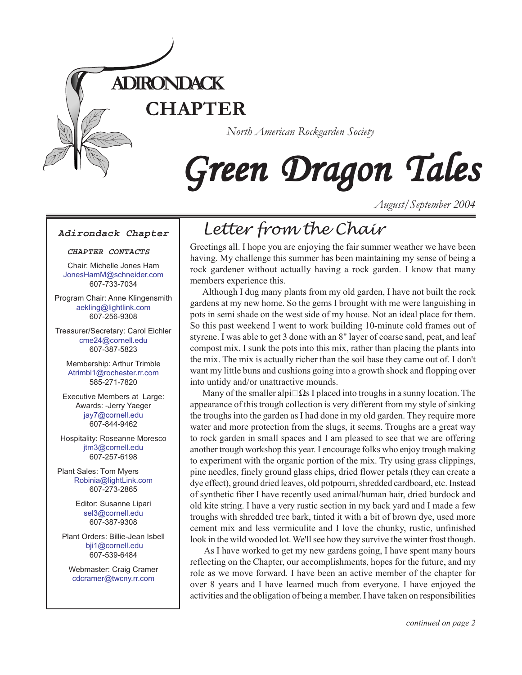

# Green Dragon Tales

*August/September 2004*

#### **Adirondack Chapter**

#### **CHAPTER CONTACTS**

Chair: Michelle Jones Ham [JonesHamM@schneider.com](Mailto:JonesHamM@schneider.com) 607-733-7034

Program Chair: Anne Klingensmith [aekling@lightlink.com](mailto:aekling@lightlink.com) 607-256-9308

Treasurer/Secretary: Carol Eichler [cme24@cornell.ed](mailto:cme24@cornell.ed)u 607-387-5823

Membership: Arthur Trimble [Atrimbl1@rochester.rr.com](mailto:Atrimbl1@rochester.rr.com) 585-271-7820

Executive Members at Large: Awards: -Jerry Yaeger [jay7@cornell.edu](mailto:jay7@cornell.edu) 607-844-9462

Hospitality: Roseanne Moresco [jtm3@cornell.edu](mailto:jtm3@cornell.edu) 607-257-6198

Plant Sales: Tom Myers [Robinia@lightLink.com](mailto:Robinia@lightLink.com) 607-273-2865

> Editor: Susanne Lipari [sel3@cornell.edu](mailto:sel3@cornell.edu) 607-387-9308

Plant Orders: Billie-Jean Isbell  [bji1@cornell.edu](mailto: bji1@cornell.edu|) 607-539-6484

Webmaster: Craig Cramer [cdcramer@twcny.rr.com](mailto:cdcramer@twcny.rr.com)

# *Letter from the Chair*

Greetings all. I hope you are enjoying the fair summer weather we have been having. My challenge this summer has been maintaining my sense of being a rock gardener without actually having a rock garden. I know that many members experience this.

Although I dug many plants from my old garden, I have not built the rock gardens at my new home. So the gems I brought with me were languishing in pots in semi shade on the west side of my house. Not an ideal place for them. So this past weekend I went to work building 10-minute cold frames out of styrene. I was able to get 3 done with an 8" layer of coarse sand, peat, and leaf compost mix. I sunk the pots into this mix, rather than placing the plants into the mix. The mix is actually richer than the soil base they came out of. I don't want my little buns and cushions going into a growth shock and flopping over into untidy and/or unattractive mounds.

Many of the smaller alpi $\square \Omega$ s I placed into troughs in a sunny location. The appearance of this trough collection is very different from my style of sinking the troughs into the garden as I had done in my old garden. They require more water and more protection from the slugs, it seems. Troughs are a great way to rock garden in small spaces and I am pleased to see that we are offering another trough workshop this year. I encourage folks who enjoy trough making to experiment with the organic portion of the mix. Try using grass clippings, pine needles, finely ground glass chips, dried flower petals (they can create a dye effect), ground dried leaves, old potpourri, shredded cardboard, etc. Instead of synthetic fiber I have recently used animal/human hair, dried burdock and old kite string. I have a very rustic section in my back yard and I made a few troughs with shredded tree bark, tinted it with a bit of brown dye, used more cement mix and less vermiculite and I love the chunky, rustic, unfinished look in the wild wooded lot. We'll see how they survive the winter frost though.

 As I have worked to get my new gardens going, I have spent many hours reflecting on the Chapter, our accomplishments, hopes for the future, and my role as we move forward. I have been an active member of the chapter for over 8 years and I have learned much from everyone. I have enjoyed the activities and the obligation of being a member. I have taken on responsibilities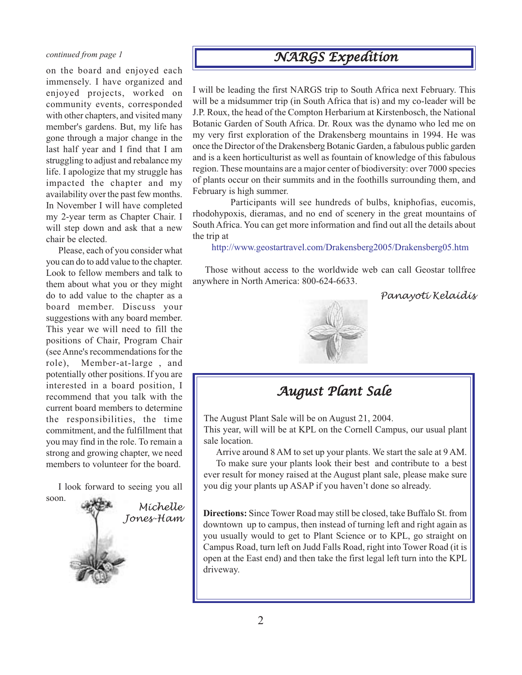on the board and enjoyed each immensely. I have organized and enjoyed projects, worked on community events, corresponded with other chapters, and visited many member's gardens. But, my life has gone through a major change in the last half year and I find that I am struggling to adjust and rebalance my life. I apologize that my struggle has impacted the chapter and my availability over the past few months. In November I will have completed my 2-year term as Chapter Chair. I will step down and ask that a new chair be elected.

Please, each of you consider what you can do to add value to the chapter. Look to fellow members and talk to them about what you or they might do to add value to the chapter as a board member. Discuss your suggestions with any board member. This year we will need to fill the positions of Chair, Program Chair (see Anne's recommendations for the role), Member-at-large , and potentially other positions. If you are interested in a board position, I recommend that you talk with the current board members to determine the responsibilities, the time commitment, and the fulfillment that you may find in the role. To remain a strong and growing chapter, we need members to volunteer for the board.

I look forward to seeing you all soon.



# *continued from page 1 NARGS Expedition*

I will be leading the first NARGS trip to South Africa next February. This will be a midsummer trip (in South Africa that is) and my co-leader will be J.P. Roux, the head of the Compton Herbarium at Kirstenbosch, the National Botanic Garden of South Africa. Dr. Roux was the dynamo who led me on my very first exploration of the Drakensberg mountains in 1994. He was once the Director of the Drakensberg Botanic Garden, a fabulous public garden and is a keen horticulturist as well as fountain of knowledge of this fabulous region. These mountains are a major center of biodiversity: over 7000 species of plants occur on their summits and in the foothills surrounding them, and February is high summer.

 Participants will see hundreds of bulbs, kniphofias, eucomis, rhodohypoxis, dieramas, and no end of scenery in the great mountains of South Africa. You can get more information and find out all the details about the trip at

<http://www.geostartravel.com/Drakensberg2005/Drakensberg05.htm>

Those without access to the worldwide web can call Geostar tollfree anywhere in North America: 800-624-6633.

*Panayoti Kelaidis*



### *August Plant Sale*

The August Plant Sale will be on August 21, 2004.

This year, will will be at KPL on the Cornell Campus, our usual plant sale location.

Arrive around 8 AM to set up your plants. We start the sale at 9 AM.

To make sure your plants look their best and contribute to a best ever result for money raised at the August plant sale, please make sure you dig your plants up ASAP if you haven't done so already.

**Directions:** Since Tower Road may still be closed, take Buffalo St. from downtown up to campus, then instead of turning left and right again as you usually would to get to Plant Science or to KPL, go straight on Campus Road, turn left on Judd Falls Road, right into Tower Road (it is open at the East end) and then take the first legal left turn into the KPL driveway.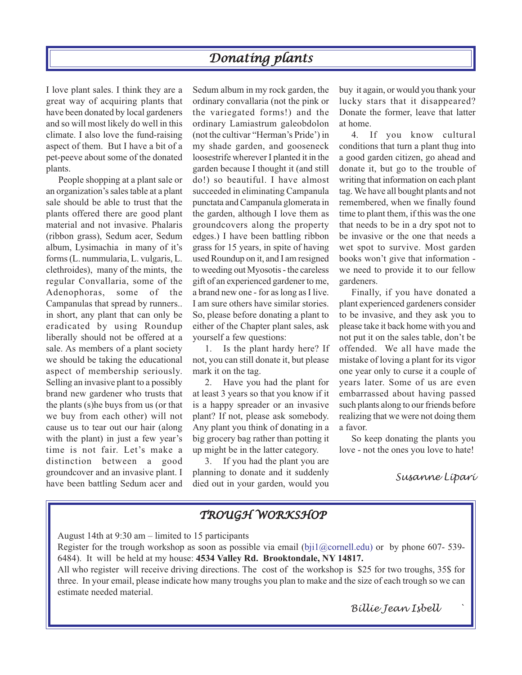### *Donating plants*

I love plant sales. I think they are a great way of acquiring plants that have been donated by local gardeners and so will most likely do well in this climate. I also love the fund-raising aspect of them. But I have a bit of a pet-peeve about some of the donated plants.

People shopping at a plant sale or an organization's sales table at a plant sale should be able to trust that the plants offered there are good plant material and not invasive. Phalaris (ribbon grass), Sedum acer, Sedum album, Lysimachia in many of it's forms (L. nummularia, L. vulgaris, L. clethroides), many of the mints, the regular Convallaria, some of the Adenophoras, some of the Campanulas that spread by runners.. in short, any plant that can only be eradicated by using Roundup liberally should not be offered at a sale. As members of a plant society we should be taking the educational aspect of membership seriously. Selling an invasive plant to a possibly brand new gardener who trusts that the plants (s)he buys from us (or that we buy from each other) will not cause us to tear out our hair (along with the plant) in just a few year's time is not fair. Let's make a distinction between a good groundcover and an invasive plant. I have been battling Sedum acer and

Sedum album in my rock garden, the ordinary convallaria (not the pink or the variegated forms!) and the ordinary Lamiastrum galeobdolon (not the cultivar "Herman's Pride') in my shade garden, and gooseneck loosestrife wherever I planted it in the garden because I thought it (and still do!) so beautiful. I have almost succeeded in eliminating Campanula punctata and Campanula glomerata in the garden, although I love them as groundcovers along the property edges.) I have been battling ribbon grass for 15 years, in spite of having used Roundup on it, and I am resigned to weeding out Myosotis - the careless gift of an experienced gardener to me, a brand new one - for as long as I live. I am sure others have similar stories. So, please before donating a plant to either of the Chapter plant sales, ask yourself a few questions:

1. Is the plant hardy here? If not, you can still donate it, but please mark it on the tag.

2. Have you had the plant for at least 3 years so that you know if it is a happy spreader or an invasive plant? If not, please ask somebody. Any plant you think of donating in a big grocery bag rather than potting it up might be in the latter category.

3. If you had the plant you are planning to donate and it suddenly died out in your garden, would you buy it again, or would you thank your lucky stars that it disappeared? Donate the former, leave that latter at home.

4. If you know cultural conditions that turn a plant thug into a good garden citizen, go ahead and donate it, but go to the trouble of writing that information on each plant tag. We have all bought plants and not remembered, when we finally found time to plant them, if this was the one that needs to be in a dry spot not to be invasive or the one that needs a wet spot to survive. Most garden books won't give that information we need to provide it to our fellow gardeners.

Finally, if you have donated a plant experienced gardeners consider to be invasive, and they ask you to please take it back home with you and not put it on the sales table, don't be offended. We all have made the mistake of loving a plant for its vigor one year only to curse it a couple of years later. Some of us are even embarrassed about having passed such plants along to our friends before realizing that we were not doing them a favor.

So keep donating the plants you love - not the ones you love to hate!

#### *Susanne Lipari*

#### *TROUGH WORKSHOP*

August 14th at 9:30 am – limited to 15 participants

Register for the trough workshop as soon as possible via email (bji1@cornell.edu) or by phone 607- 539-6484). It will be held at my house: **4534 Valley Rd. Brooktondale, NY 14817.**

All who register will receive driving directions. The cost of the workshop is \$25 for two troughs, 35\$ for three. In your email, please indicate how many troughs you plan to make and the size of each trough so we can estimate needed material.

3

*Billie Jean Isbell `*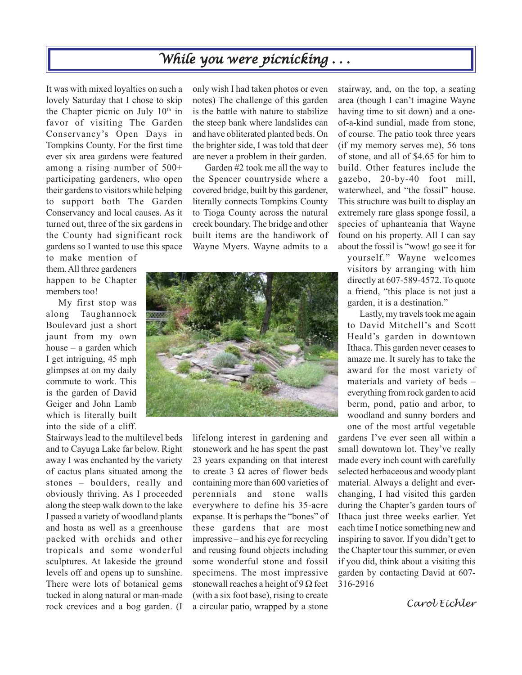# *While you were picnicking . . . picnicking . . .*

It was with mixed loyalties on such a lovely Saturday that I chose to skip the Chapter picnic on July  $10<sup>th</sup>$  in favor of visiting The Garden Conservancy's Open Days in Tompkins County. For the first time ever six area gardens were featured among a rising number of 500+ participating gardeners, who open their gardens to visitors while helping to support both The Garden Conservancy and local causes. As it turned out, three of the six gardens in the County had significant rock gardens so I wanted to use this space

to make mention of them. All three gardeners happen to be Chapter members too!

My first stop was along Taughannock Boulevard just a short jaunt from my own house – a garden which I get intriguing, 45 mph glimpses at on my daily commute to work. This is the garden of David Geiger and John Lamb which is literally built into the side of a cliff.

Stairways lead to the multilevel beds and to Cayuga Lake far below. Right away I was enchanted by the variety of cactus plans situated among the stones – boulders, really and obviously thriving. As I proceeded along the steep walk down to the lake I passed a variety of woodland plants and hosta as well as a greenhouse packed with orchids and other tropicals and some wonderful sculptures. At lakeside the ground levels off and opens up to sunshine. There were lots of botanical gems tucked in along natural or man-made rock crevices and a bog garden. (I a circular patio, wrapped by a stone **Carol Eichler** 

only wish I had taken photos or even notes) The challenge of this garden is the battle with nature to stabilize the steep bank where landslides can and have obliterated planted beds. On the brighter side, I was told that deer are never a problem in their garden.

Garden #2 took me all the way to the Spencer countryside where a covered bridge, built by this gardener, literally connects Tompkins County to Tioga County across the natural creek boundary. The bridge and other built items are the handiwork of Wayne Myers. Wayne admits to a



lifelong interest in gardening and stonework and he has spent the past 23 years expanding on that interest to create 3 Ω acres of flower beds containing more than 600 varieties of perennials and stone walls everywhere to define his 35-acre expanse. It is perhaps the "bones" of these gardens that are most impressive – and his eye for recycling and reusing found objects including some wonderful stone and fossil specimens. The most impressive stonewall reaches a height of 9  $\Omega$  feet (with a six foot base), rising to create a circular patio, wrapped by a stone

stairway, and, on the top, a seating area (though I can't imagine Wayne having time to sit down) and a oneof-a-kind sundial, made from stone, of course. The patio took three years (if my memory serves me), 56 tons of stone, and all of \$4.65 for him to build. Other features include the gazebo, 20-by-40 foot mill, waterwheel, and "the fossil" house. This structure was built to display an extremely rare glass sponge fossil, a species of uphanteania that Wayne found on his property. All I can say about the fossil is "wow! go see it for

yourself." Wayne welcomes visitors by arranging with him directly at 607-589-4572. To quote a friend, "this place is not just a garden, it is a destination."

Lastly, my travels took me again to David Mitchell's and Scott Heald's garden in downtown Ithaca. This garden never ceases to amaze me. It surely has to take the award for the most variety of materials and variety of beds – everything from rock garden to acid berm, pond, patio and arbor, to woodland and sunny borders and one of the most artful vegetable

gardens I've ever seen all within a small downtown lot. They've really made every inch count with carefully selected herbaceous and woody plant material. Always a delight and everchanging, I had visited this garden during the Chapter's garden tours of Ithaca just three weeks earlier. Yet each time I notice something new and inspiring to savor. If you didn't get to the Chapter tour this summer, or even if you did, think about a visiting this garden by contacting David at 607- 316-2916